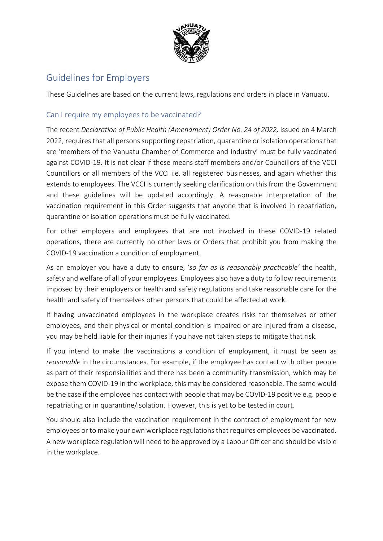

# Guidelines for Employers

These Guidelines are based on the current laws, regulations and orders in place in Vanuatu.

# Can I require my employees to be vaccinated?

The recent *Declaration of Public Health (Amendment) Order No. 24 of 2022, issued on 4 March* 2022, requires that all persons supporting repatriation, quarantine or isolation operations that are 'members of the Vanuatu Chamber of Commerce and Industry' must be fully vaccinated against COVID-19. It is not clear if these means staff members and/or Councillors of the VCCI Councillors or all members of the VCCI i.e. all registered businesses, and again whether this extends to employees. The VCCI is currently seeking clarification on this from the Government and these guidelines will be updated accordingly. A reasonable interpretation of the vaccination requirement in this Order suggests that anyone that is involved in repatriation, quarantine or isolation operations must be fully vaccinated.

For other employers and employees that are not involved in these COVID-19 related operations, there are currently no other laws or Orders that prohibit you from making the COVID-19 vaccination a condition of employment.

As an employer you have a duty to ensure, '*so far as is reasonably practicable'* the health, safety and welfare of all of your employees. Employees also have a duty to follow requirements imposed by their employers or health and safety regulations and take reasonable care for the health and safety of themselves other persons that could be affected at work.

If having unvaccinated employees in the workplace creates risks for themselves or other employees, and their physical or mental condition is impaired or are injured from a disease, you may be held liable for their injuries if you have not taken steps to mitigate that risk.

If you intend to make the vaccinations a condition of employment, it must be seen as *reasonable* in the circumstances. For example, if the employee has contact with other people as part of their responsibilities and there has been a community transmission, which may be expose them COVID-19 in the workplace, this may be considered reasonable. The same would be the case if the employee has contact with people that may be COVID-19 positive e.g. people repatriating or in quarantine/isolation. However, this is yet to be tested in court.

You should also include the vaccination requirement in the contract of employment for new employees or to make your own workplace regulations that requires employees be vaccinated. A new workplace regulation will need to be approved by a Labour Officer and should be visible in the workplace.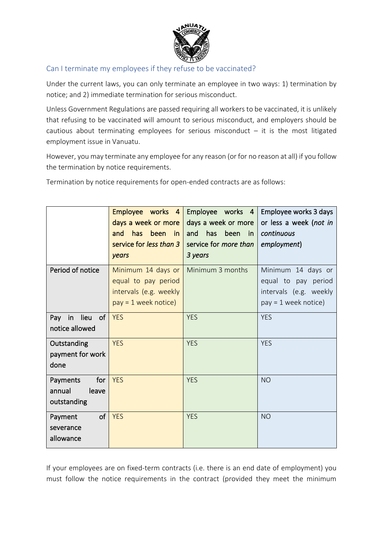

### Can I terminate my employees if they refuse to be vaccinated?

Under the current laws, you can only terminate an employee in two ways: 1) termination by notice; and 2) immediate termination for serious misconduct.

Unless Government Regulations are passed requiring all workers to be vaccinated, it is unlikely that refusing to be vaccinated will amount to serious misconduct, and employers should be cautious about terminating employees for serious misconduct  $-$  it is the most litigated employment issue in Vanuatu.

However, you may terminate any employee for any reason (or for no reason at all) if you follow the termination by notice requirements.

Termination by notice requirements for open-ended contracts are as follows:

|                                                   | Employee works 4<br>days a week or more<br>has<br>been<br>and<br>in<br>service for less than 3<br>years | Employee works 4<br>days a week or more<br>has<br>been<br>and<br>in.<br>service for <i>more than</i><br>3 years | Employee works 3 days<br>or less a week (not in<br>continuous<br>employment)                  |
|---------------------------------------------------|---------------------------------------------------------------------------------------------------------|-----------------------------------------------------------------------------------------------------------------|-----------------------------------------------------------------------------------------------|
| Period of notice                                  | Minimum 14 days or<br>equal to pay period<br>intervals (e.g. weekly<br>$pay = 1$ week notice)           | Minimum 3 months                                                                                                | Minimum 14 days or<br>equal to pay period<br>intervals (e.g. weekly<br>$pay = 1$ week notice) |
| lieu<br>of<br>Pay<br>in<br>notice allowed         | <b>YES</b>                                                                                              | <b>YES</b>                                                                                                      | <b>YES</b>                                                                                    |
| Outstanding<br>payment for work<br>done           | <b>YES</b>                                                                                              | <b>YES</b>                                                                                                      | <b>YES</b>                                                                                    |
| Payments<br>for<br>annual<br>leave<br>outstanding | <b>YES</b>                                                                                              | <b>YES</b>                                                                                                      | <b>NO</b>                                                                                     |
| of<br>Payment<br>severance<br>allowance           | <b>YES</b>                                                                                              | <b>YES</b>                                                                                                      | <b>NO</b>                                                                                     |

If your employees are on fixed-term contracts (i.e. there is an end date of employment) you must follow the notice requirements in the contract (provided they meet the minimum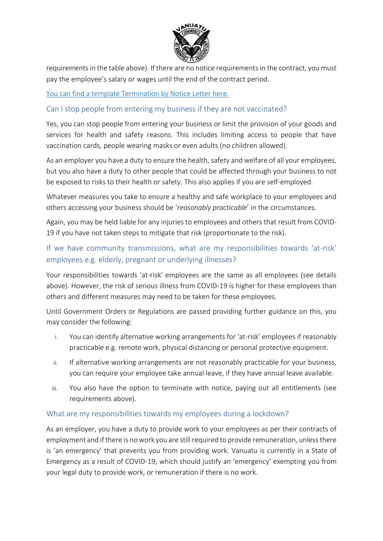

requirements in the table above). If there are no notice requirements in the contract, you must pay the employee's salary or wages until the end of the contract period.

[You can find a template Termination by Notice Letter here.](https://vcci.vu/wp-content/uploads/2020/10/Termination-by-notice-letter.docx)

Can I stop people from entering my business if they are not vaccinated?

Yes, you can stop people from entering your business or limit the provision of your goods and services for health and safety reasons. This includes limiting access to people that have vaccination cards, people wearing masks or even adults (no children allowed).

As an employer you have a duty to ensure the health, safety and welfare of all your employees, but you also have a duty to other people that could be affected through your business to not be exposed to risks to their health or safety. This also applies if you are self-employed.

Whatever measures you take to ensure a healthy and safe workplace to your employees and others accessing your business should be '*reasonably practicable*' in the circumstances.

Again, you may be held liable for any injuries to employees and others that result from COVID-19 if you have not taken steps to mitigate that risk (proportionate to the risk).

# If we have community transmissions, what are my responsibilities towards 'at-risk' employees e.g. elderly, pregnant or underlying illnesses?

Your responsibilities towards 'at-risk' employees are the same as all employees (see details above). However, the risk of serious illness from COVID-19 is higher for these employees than others and different measures may need to be taken for these employees.

Until Government Orders or Regulations are passed providing further guidance on this, you may consider the following:

- i. You can identify alternative working arrangements for 'at-risk' employees if reasonably practicable e.g. remote work, physical distancing or personal protective equipment.
- ii. If alternative working arrangements are not reasonably practicable for your business, you can require your employee take annual leave, if they have annual leave available.
- iii. You also have the option to terminate with notice, paying out all entitlements (see requirements above).

### What are my responsibilities towards my employees during a lockdown?

As an employer, you have a duty to provide work to your employees as per their contracts of employment and if there is no work you are still required to provide remuneration, unless there is 'an emergency' that prevents you from providing work. Vanuatu is currently in a State of Emergency as a result of COVID-19, which should justify an 'emergency' exempting you from your legal duty to provide work, or remuneration if there is no work.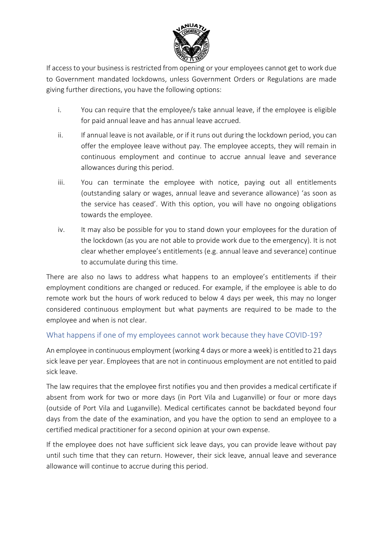

If access to your business is restricted from opening or your employees cannot get to work due to Government mandated lockdowns, unless Government Orders or Regulations are made giving further directions, you have the following options:

- i. You can require that the employee/s take annual leave, if the employee is eligible for paid annual leave and has annual leave accrued.
- ii. If annual leave is not available, or if it runs out during the lockdown period, you can offer the employee leave without pay. The employee accepts, they will remain in continuous employment and continue to accrue annual leave and severance allowances during this period.
- iii. You can terminate the employee with notice, paying out all entitlements (outstanding salary or wages, annual leave and severance allowance) 'as soon as the service has ceased'. With this option, you will have no ongoing obligations towards the employee.
- iv. It may also be possible for you to stand down your employees for the duration of the lockdown (as you are not able to provide work due to the emergency). It is not clear whether employee's entitlements (e.g. annual leave and severance) continue to accumulate during this time.

There are also no laws to address what happens to an employee's entitlements if their employment conditions are changed or reduced. For example, if the employee is able to do remote work but the hours of work reduced to below 4 days per week, this may no longer considered continuous employment but what payments are required to be made to the employee and when is not clear.

### What happens if one of my employees cannot work because they have COVID-19?

An employee in continuous employment (working 4 days or more a week) is entitled to 21 days sick leave per year. Employees that are not in continuous employment are not entitled to paid sick leave.

The law requires that the employee first notifies you and then provides a medical certificate if absent from work for two or more days (in Port Vila and Luganville) or four or more days (outside of Port Vila and Luganville). Medical certificates cannot be backdated beyond four days from the date of the examination, and you have the option to send an employee to a certified medical practitioner for a second opinion at your own expense.

If the employee does not have sufficient sick leave days, you can provide leave without pay until such time that they can return. However, their sick leave, annual leave and severance allowance will continue to accrue during this period.